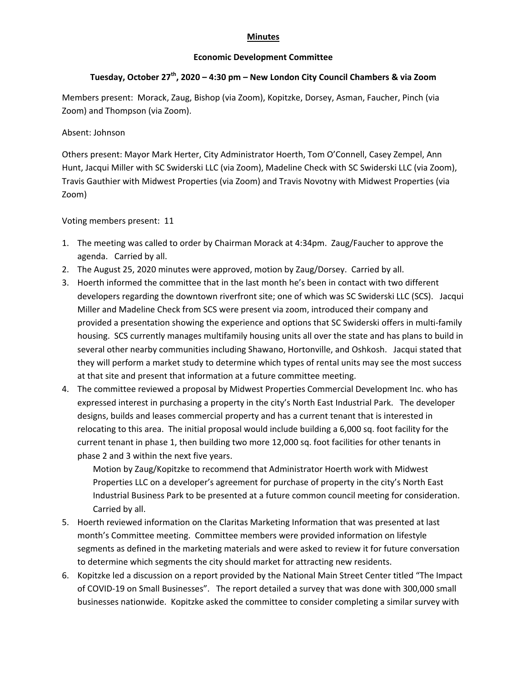## **Minutes**

## **Economic Development Committee**

## **Tuesday, October 27th, 2020 – 4:30 pm – New London City Council Chambers & via Zoom**

Members present: Morack, Zaug, Bishop (via Zoom), Kopitzke, Dorsey, Asman, Faucher, Pinch (via Zoom) and Thompson (via Zoom).

## Absent: Johnson

Others present: Mayor Mark Herter, City Administrator Hoerth, Tom O'Connell, Casey Zempel, Ann Hunt, Jacqui Miller with SC Swiderski LLC (via Zoom), Madeline Check with SC Swiderski LLC (via Zoom), Travis Gauthier with Midwest Properties (via Zoom) and Travis Novotny with Midwest Properties (via Zoom)

Voting members present: 11

- 1. The meeting was called to order by Chairman Morack at 4:34pm. Zaug/Faucher to approve the agenda. Carried by all.
- 2. The August 25, 2020 minutes were approved, motion by Zaug/Dorsey. Carried by all.
- 3. Hoerth informed the committee that in the last month he's been in contact with two different developers regarding the downtown riverfront site; one of which was SC Swiderski LLC (SCS). Jacqui Miller and Madeline Check from SCS were present via zoom, introduced their company and provided a presentation showing the experience and options that SC Swiderski offers in multi‐family housing. SCS currently manages multifamily housing units all over the state and has plans to build in several other nearby communities including Shawano, Hortonville, and Oshkosh. Jacqui stated that they will perform a market study to determine which types of rental units may see the most success at that site and present that information at a future committee meeting.
- 4. The committee reviewed a proposal by Midwest Properties Commercial Development Inc. who has expressed interest in purchasing a property in the city's North East Industrial Park. The developer designs, builds and leases commercial property and has a current tenant that is interested in relocating to this area. The initial proposal would include building a 6,000 sq. foot facility for the current tenant in phase 1, then building two more 12,000 sq. foot facilities for other tenants in phase 2 and 3 within the next five years.

Motion by Zaug/Kopitzke to recommend that Administrator Hoerth work with Midwest Properties LLC on a developer's agreement for purchase of property in the city's North East Industrial Business Park to be presented at a future common council meeting for consideration. Carried by all.

- 5. Hoerth reviewed information on the Claritas Marketing Information that was presented at last month's Committee meeting. Committee members were provided information on lifestyle segments as defined in the marketing materials and were asked to review it for future conversation to determine which segments the city should market for attracting new residents.
- 6. Kopitzke led a discussion on a report provided by the National Main Street Center titled "The Impact of COVID‐19 on Small Businesses". The report detailed a survey that was done with 300,000 small businesses nationwide. Kopitzke asked the committee to consider completing a similar survey with